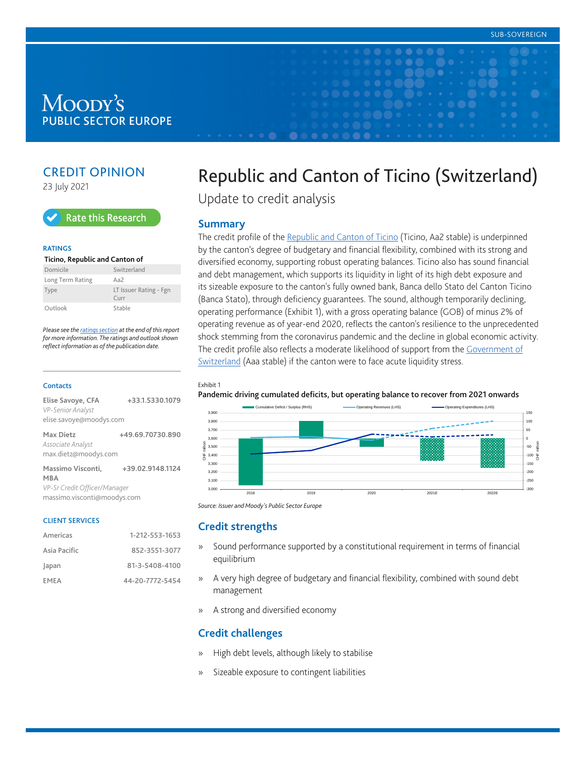# Moody's **PUBLIC SECTOR EUROPE**

# CREDIT OPINION

23 July 2021



#### **RATINGS**

| Ticino, Republic and Canton of |                                                  |  |
|--------------------------------|--------------------------------------------------|--|
| Domicile                       | Switzerland                                      |  |
| Long Term Rating               | Aa $\overline{2}$                                |  |
| Type                           | LT Issuer Rating - Fgn<br>$C$ <sub>III</sub> $r$ |  |
| Outlook                        | Stable                                           |  |

*Please see the [ratings section](#page-5-0) at the end of this report for more information. The ratings and outlook shown reflect information as of the publication date.*

#### **Contacts**

| Elise Savoye, CFA<br><b>VP-Senior Analyst</b><br>elise.savoye@moodys.com | +33.1.5330.1079  |
|--------------------------------------------------------------------------|------------------|
| Max Dietz<br>Associate Analyst<br>max.dietz@moodys.com                   | +49.69.70730.890 |
| Massimo Visconti,<br><b>MBA</b><br>VP-Sr Credit Officer/Manager          | +39.02.9148.1124 |

massimo.visconti@moodys.com

#### CLIENT SERVICES

| Americas     | 1-212-553-1653  |
|--------------|-----------------|
| Asia Pacific | 852-3551-3077   |
| Japan        | 81-3-5408-4100  |
| <b>FMFA</b>  | 44-20-7772-5454 |

# Republic and Canton of Ticino (Switzerland)

Update to credit analysis

# **Summary**

The credit profile of the [Republic and Canton of Ticino](https://www.moodys.com/credit-ratings/Ticino-Republic-and-Canton-of-credit-rating-600038487) (Ticino, Aa2 stable) is underpinned by the canton's degree of budgetary and financial flexibility, combined with its strong and diversified economy, supporting robust operating balances. Ticino also has sound financial and debt management, which supports its liquidity in light of its high debt exposure and its sizeable exposure to the canton's fully owned bank, Banca dello Stato del Canton Ticino (Banca Stato), through deficiency guarantees. The sound, although temporarily declining, operating performance (Exhibit 1), with a gross operating balance (GOB) of minus 2% of operating revenue as of year-end 2020, reflects the canton's resilience to the unprecedented shock stemming from the coronavirus pandemic and the decline in global economic activity. The credit profile also reflects a moderate likelihood of support from the [Government of](https://www.moodys.com/credit-ratings/Switzerland-Government-of-credit-rating-731810) [Switzerland](https://www.moodys.com/credit-ratings/Switzerland-Government-of-credit-rating-731810) (Aaa stable) if the canton were to face acute liquidity stress.

#### Exhibit 1

## Pandemic driving cumulated deficits, but operating balance to recover from 2021 onwards



#### *Source: Issuer and Moody's Public Sector Europe*

# **Credit strengths**

- » Sound performance supported by a constitutional requirement in terms of financial equilibrium
- » A very high degree of budgetary and financial flexibility, combined with sound debt management
- » A strong and diversified economy

# **Credit challenges**

- » High debt levels, although likely to stabilise
- » Sizeable exposure to contingent liabilities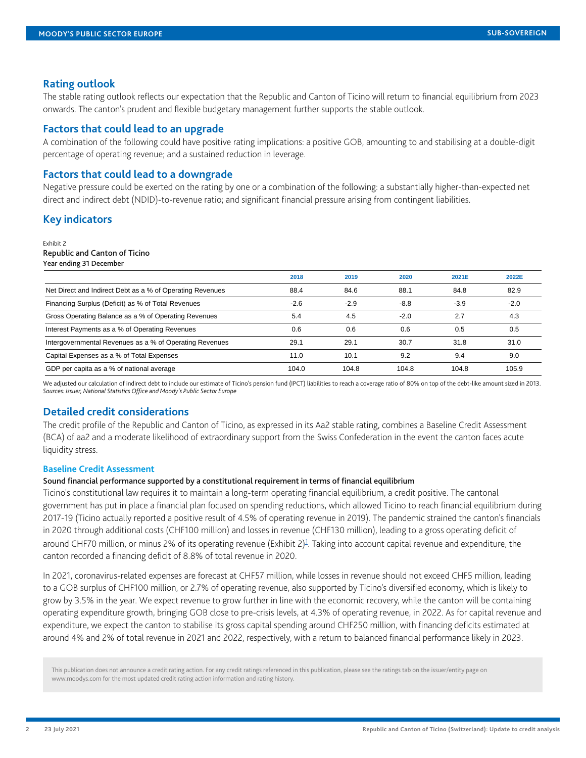# **Rating outlook**

The stable rating outlook reflects our expectation that the Republic and Canton of Ticino will return to financial equilibrium from 2023 onwards. The canton's prudent and flexible budgetary management further supports the stable outlook.

# **Factors that could lead to an upgrade**

A combination of the following could have positive rating implications: a positive GOB, amounting to and stabilising at a double-digit percentage of operating revenue; and a sustained reduction in leverage.

# **Factors that could lead to a downgrade**

Negative pressure could be exerted on the rating by one or a combination of the following: a substantially higher-than-expected net direct and indirect debt (NDID)-to-revenue ratio; and significant financial pressure arising from contingent liabilities.

# **Key indicators**

Exhibit 2 Republic and Canton of Ticino Year ending 31 December

|                                                           | 2018   | 2019   | 2020   | 2021E  | 2022E  |
|-----------------------------------------------------------|--------|--------|--------|--------|--------|
| Net Direct and Indirect Debt as a % of Operating Revenues | 88.4   | 84.6   | 88.1   | 84.8   | 82.9   |
| Financing Surplus (Deficit) as % of Total Revenues        | $-2.6$ | $-2.9$ | $-8.8$ | $-3.9$ | $-2.0$ |
| Gross Operating Balance as a % of Operating Revenues      | 5.4    | 4.5    | $-2.0$ | 2.7    | 4.3    |
| Interest Payments as a % of Operating Revenues            | 0.6    | 0.6    | 0.6    | 0.5    | 0.5    |
| Intergovernmental Revenues as a % of Operating Revenues   | 29.1   | 29.1   | 30.7   | 31.8   | 31.0   |
| Capital Expenses as a % of Total Expenses                 | 11.0   | 10.1   | 9.2    | 9.4    | 9.0    |
| GDP per capita as a % of national average                 | 104.0  | 104.8  | 104.8  | 104.8  | 105.9  |

We adjusted our calculation of indirect debt to include our estimate of Ticino's pension fund (IPCT) liabilities to reach a coverage ratio of 80% on top of the debt-like amount sized in 2013. *Sources: Issuer, National Statistics Office and Moody's Public Sector Europe*

# **Detailed credit considerations**

The credit profile of the Republic and Canton of Ticino, as expressed in its Aa2 stable rating, combines a Baseline Credit Assessment (BCA) of aa2 and a moderate likelihood of extraordinary support from the Swiss Confederation in the event the canton faces acute liquidity stress.

#### **Baseline Credit Assessment**

## Sound financial performance supported by a constitutional requirement in terms of financial equilibrium

Ticino's constitutional law requires it to maintain a long-term operating financial equilibrium, a credit positive. The cantonal government has put in place a financial plan focused on spending reductions, which allowed Ticino to reach financial equilibrium during 2017-19 (Ticino actually reported a positive result of 4.5% of operating revenue in 2019). The pandemic strained the canton's financials in 2020 through additional costs (CHF100 million) and losses in revenue (CHF130 million), leading to a gross operating deficit of around CHF70 million, or minus 2% of its operating revenue (Exhibit 2)<sup>[1](#page-5-1)</sup>. Taking into account capital revenue and expenditure, the canton recorded a financing deficit of 8.8% of total revenue in 2020.

<span id="page-1-0"></span>In 2021, coronavirus-related expenses are forecast at CHF57 million, while losses in revenue should not exceed CHF5 million, leading to a GOB surplus of CHF100 million, or 2.7% of operating revenue, also supported by Ticino's diversified economy, which is likely to grow by 3.5% in the year. We expect revenue to grow further in line with the economic recovery, while the canton will be containing operating expenditure growth, bringing GOB close to pre-crisis levels, at 4.3% of operating revenue, in 2022. As for capital revenue and expenditure, we expect the canton to stabilise its gross capital spending around CHF250 million, with financing deficits estimated at around 4% and 2% of total revenue in 2021 and 2022, respectively, with a return to balanced financial performance likely in 2023.

This publication does not announce a credit rating action. For any credit ratings referenced in this publication, please see the ratings tab on the issuer/entity page on www.moodys.com for the most updated credit rating action information and rating history.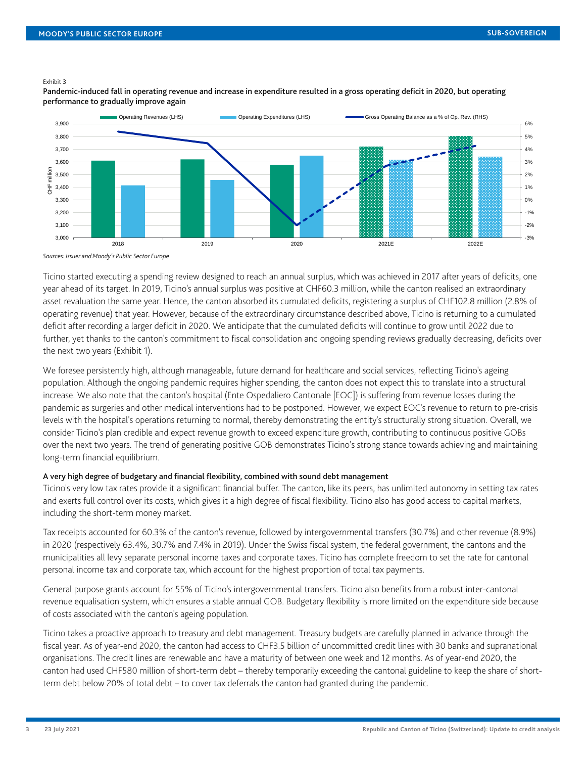#### Exhibit 3



Pandemic-induced fall in operating revenue and increase in expenditure resulted in a gross operating deficit in 2020, but operating performance to gradually improve again

*Sources: Issuer and Moody's Public Sector Europe*

Ticino started executing a spending review designed to reach an annual surplus, which was achieved in 2017 after years of deficits, one year ahead of its target. In 2019, Ticino's annual surplus was positive at CHF60.3 million, while the canton realised an extraordinary asset revaluation the same year. Hence, the canton absorbed its cumulated deficits, registering a surplus of CHF102.8 million (2.8% of operating revenue) that year. However, because of the extraordinary circumstance described above, Ticino is returning to a cumulated deficit after recording a larger deficit in 2020. We anticipate that the cumulated deficits will continue to grow until 2022 due to further, yet thanks to the canton's commitment to fiscal consolidation and ongoing spending reviews gradually decreasing, deficits over the next two years (Exhibit 1).

We foresee persistently high, although manageable, future demand for healthcare and social services, reflecting Ticino's ageing population. Although the ongoing pandemic requires higher spending, the canton does not expect this to translate into a structural increase. We also note that the canton's hospital (Ente Ospedaliero Cantonale [EOC]) is suffering from revenue losses during the pandemic as surgeries and other medical interventions had to be postponed. However, we expect EOC's revenue to return to pre-crisis levels with the hospital's operations returning to normal, thereby demonstrating the entity's structurally strong situation. Overall, we consider Ticino's plan credible and expect revenue growth to exceed expenditure growth, contributing to continuous positive GOBs over the next two years. The trend of generating positive GOB demonstrates Ticino's strong stance towards achieving and maintaining long-term financial equilibrium.

#### A very high degree of budgetary and financial flexibility, combined with sound debt management

Ticino's very low tax rates provide it a significant financial buffer. The canton, like its peers, has unlimited autonomy in setting tax rates and exerts full control over its costs, which gives it a high degree of fiscal flexibility. Ticino also has good access to capital markets, including the short-term money market.

Tax receipts accounted for 60.3% of the canton's revenue, followed by intergovernmental transfers (30.7%) and other revenue (8.9%) in 2020 (respectively 63.4%, 30.7% and 7.4% in 2019). Under the Swiss fiscal system, the federal government, the cantons and the municipalities all levy separate personal income taxes and corporate taxes. Ticino has complete freedom to set the rate for cantonal personal income tax and corporate tax, which account for the highest proportion of total tax payments.

General purpose grants account for 55% of Ticino's intergovernmental transfers. Ticino also benefits from a robust inter-cantonal revenue equalisation system, which ensures a stable annual GOB. Budgetary flexibility is more limited on the expenditure side because of costs associated with the canton's ageing population.

Ticino takes a proactive approach to treasury and debt management. Treasury budgets are carefully planned in advance through the fiscal year. As of year-end 2020, the canton had access to CHF3.5 billion of uncommitted credit lines with 30 banks and supranational organisations. The credit lines are renewable and have a maturity of between one week and 12 months. As of year-end 2020, the canton had used CHF580 million of short-term debt – thereby temporarily exceeding the cantonal guideline to keep the share of shortterm debt below 20% of total debt – to cover tax deferrals the canton had granted during the pandemic.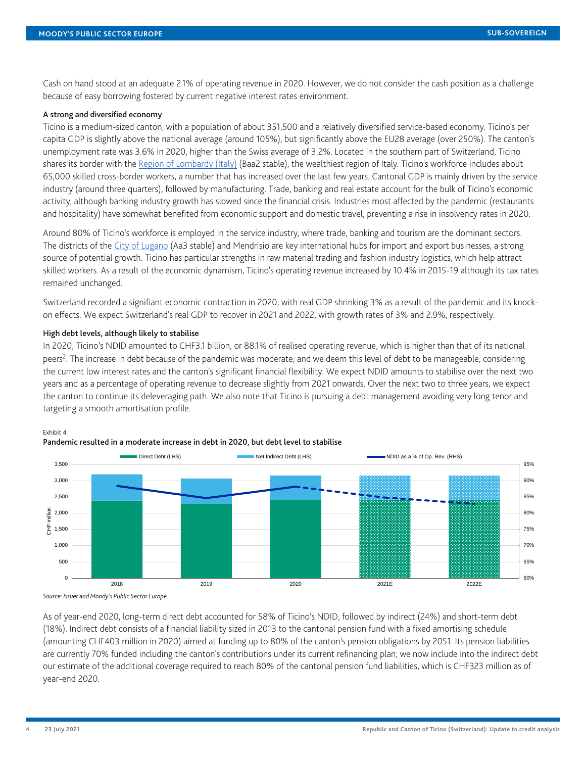Cash on hand stood at an adequate 2.1% of operating revenue in 2020. However, we do not consider the cash position as a challenge because of easy borrowing fostered by current negative interest rates environment.

## A strong and diversified economy

Ticino is a medium-sized canton, with a population of about 351,500 and a relatively diversified service-based economy. Ticino's per capita GDP is slightly above the national average (around 105%), but significantly above the EU28 average (over 250%). The canton's unemployment rate was 3.6% in 2020, higher than the Swiss average of 3.2%. Located in the southern part of Switzerland, Ticino shares its border with the [Region of Lombardy \(Italy\)](https://www.moodys.com/credit-ratings/Lombardy-Region-of-credit-rating-600049243) (Baa2 stable), the wealthiest region of Italy. Ticino's workforce includes about 65,000 skilled cross-border workers, a number that has increased over the last few years. Cantonal GDP is mainly driven by the service industry (around three quarters), followed by manufacturing. Trade, banking and real estate account for the bulk of Ticino's economic activity, although banking industry growth has slowed since the financial crisis. Industries most affected by the pandemic (restaurants and hospitality) have somewhat benefited from economic support and domestic travel, preventing a rise in insolvency rates in 2020.

Around 80% of Ticino's workforce is employed in the service industry, where trade, banking and tourism are the dominant sectors. The districts of the [City of Lugano](https://www.moodys.com/credit-ratings/Lugano-City-of-credit-rating-600017677) (Aa3 stable) and Mendrisio are key international hubs for import and export businesses, a strong source of potential growth. Ticino has particular strengths in raw material trading and fashion industry logistics, which help attract skilled workers. As a result of the economic dynamism, Ticino's operating revenue increased by 10.4% in 2015-19 although its tax rates remained unchanged.

Switzerland recorded a signifiant economic contraction in 2020, with real GDP shrinking 3% as a result of the pandemic and its knockon effects. We expect Switzerland's real GDP to recover in 2021 and 2022, with growth rates of 3% and 2.9%, respectively.

## High debt levels, although likely to stabilise

<span id="page-3-0"></span>In 2020, Ticino's NDID amounted to CHF3.1 billion, or 88.1% of realised operating revenue, which is higher than that of its national peers<sup>[2](#page-5-2)</sup>. The increase in debt because of the pandemic was moderate, and we deem this level of debt to be manageable, considering the current low interest rates and the canton's significant financial flexibility. We expect NDID amounts to stabilise over the next two years and as a percentage of operating revenue to decrease slightly from 2021 onwards. Over the next two to three years, we expect the canton to continue its deleveraging path. We also note that Ticino is pursuing a debt management avoiding very long tenor and targeting a smooth amortisation profile.

#### Exhibit 4



# Pandemic resulted in a moderate increase in debt in 2020, but debt level to stabilise

*Source: Issuer and Moody's Public Sector Europe*

As of year-end 2020, long-term direct debt accounted for 58% of Ticino's NDID, followed by indirect (24%) and short-term debt (18%). Indirect debt consists of a financial liability sized in 2013 to the cantonal pension fund with a fixed amortising schedule (amounting CHF403 million in 2020) aimed at funding up to 80% of the canton's pension obligations by 2051. Its pension liabilities are currently 70% funded including the canton's contributions under its current refinancing plan; we now include into the indirect debt our estimate of the additional coverage required to reach 80% of the cantonal pension fund liabilities, which is CHF323 million as of year-end 2020.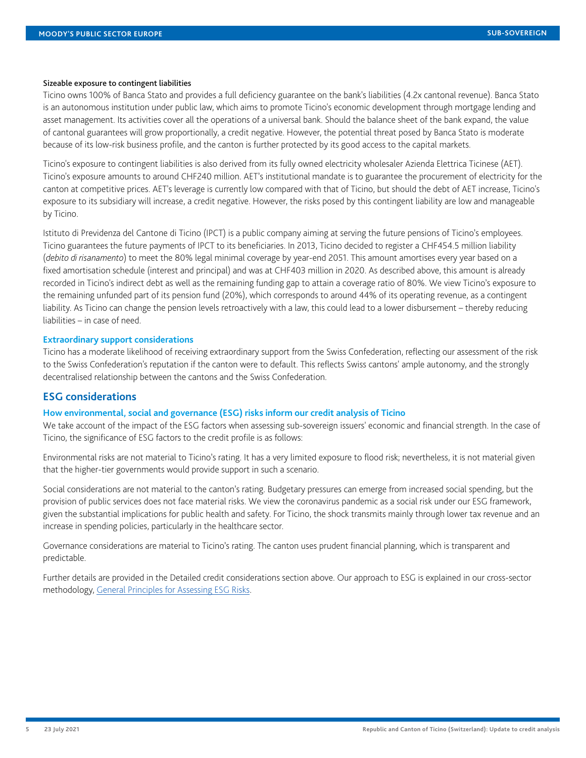## Sizeable exposure to contingent liabilities

Ticino owns 100% of Banca Stato and provides a full deficiency guarantee on the bank's liabilities (4.2x cantonal revenue). Banca Stato is an autonomous institution under public law, which aims to promote Ticino's economic development through mortgage lending and asset management. Its activities cover all the operations of a universal bank. Should the balance sheet of the bank expand, the value of cantonal guarantees will grow proportionally, a credit negative. However, the potential threat posed by Banca Stato is moderate because of its low-risk business profile, and the canton is further protected by its good access to the capital markets.

Ticino's exposure to contingent liabilities is also derived from its fully owned electricity wholesaler Azienda Elettrica Ticinese (AET). Ticino's exposure amounts to around CHF240 million. AET's institutional mandate is to guarantee the procurement of electricity for the canton at competitive prices. AET's leverage is currently low compared with that of Ticino, but should the debt of AET increase, Ticino's exposure to its subsidiary will increase, a credit negative. However, the risks posed by this contingent liability are low and manageable by Ticino.

Istituto di Previdenza del Cantone di Ticino (IPCT) is a public company aiming at serving the future pensions of Ticino's employees. Ticino guarantees the future payments of IPCT to its beneficiaries. In 2013, Ticino decided to register a CHF454.5 million liability (*debito di risanamento*) to meet the 80% legal minimal coverage by year-end 2051. This amount amortises every year based on a fixed amortisation schedule (interest and principal) and was at CHF403 million in 2020. As described above, this amount is already recorded in Ticino's indirect debt as well as the remaining funding gap to attain a coverage ratio of 80%. We view Ticino's exposure to the remaining unfunded part of its pension fund (20%), which corresponds to around 44% of its operating revenue, as a contingent liability. As Ticino can change the pension levels retroactively with a law, this could lead to a lower disbursement – thereby reducing liabilities – in case of need.

## **Extraordinary support considerations**

Ticino has a moderate likelihood of receiving extraordinary support from the Swiss Confederation, reflecting our assessment of the risk to the Swiss Confederation's reputation if the canton were to default. This reflects Swiss cantons' ample autonomy, and the strongly decentralised relationship between the cantons and the Swiss Confederation.

# **ESG considerations**

# **How environmental, social and governance (ESG) risks inform our credit analysis of Ticino**

We take account of the impact of the ESG factors when assessing sub-sovereign issuers' economic and financial strength. In the case of Ticino, the significance of ESG factors to the credit profile is as follows:

Environmental risks are not material to Ticino's rating. It has a very limited exposure to flood risk; nevertheless, it is not material given that the higher-tier governments would provide support in such a scenario.

Social considerations are not material to the canton's rating. Budgetary pressures can emerge from increased social spending, but the provision of public services does not face material risks. We view the coronavirus pandemic as a social risk under our ESG framework, given the substantial implications for public health and safety. For Ticino, the shock transmits mainly through lower tax revenue and an increase in spending policies, particularly in the healthcare sector.

Governance considerations are material to Ticino's rating. The canton uses prudent financial planning, which is transparent and predictable.

Further details are provided in the Detailed credit considerations section above. Our approach to ESG is explained in our cross-sector methodology, [General Principles for Assessing ESG Risks.](https://www.moodys.com/researchdocumentcontentpage.aspx?docid=PBC_1263068)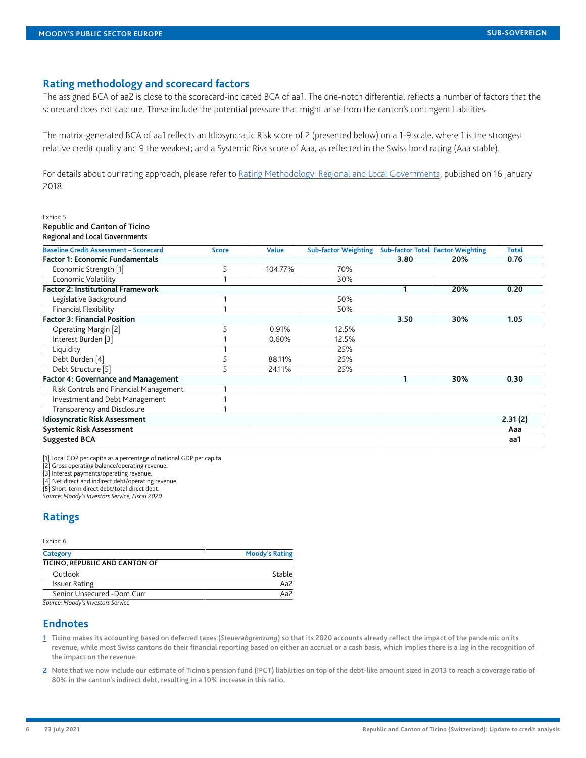# **Rating methodology and scorecard factors**

The assigned BCA of aa2 is close to the scorecard-indicated BCA of aa1. The one-notch differential reflects a number of factors that the scorecard does not capture. These include the potential pressure that might arise from the canton's contingent liabilities.

The matrix-generated BCA of aa1 reflects an Idiosyncratic Risk score of 2 (presented below) on a 1-9 scale, where 1 is the strongest relative credit quality and 9 the weakest; and a Systemic Risk score of Aaa, as reflected in the Swiss bond rating (Aaa stable).

For details about our rating approach, please refer to [Rating Methodology: Regional and Local Governments,](https://www.moodys.com/researchdocumentcontentpage.aspx?docid=PBC_1091595) published on 16 January 2018.

#### Exhibit 5

# Republic and Canton of Ticino

Regional and Local Governments

| <b>Baseline Credit Assessment - Scorecard</b> | <b>Score</b> | <b>Value</b> | <b>Sub-factor Weighting</b> |      | <b>Sub-factor Total Factor Weighting</b> | <b>Total</b> |
|-----------------------------------------------|--------------|--------------|-----------------------------|------|------------------------------------------|--------------|
| <b>Factor 1: Economic Fundamentals</b>        |              |              |                             | 3.80 | 20%                                      | 0.76         |
| Economic Strength [1]                         | 5            | 104.77%      | 70%                         |      |                                          |              |
| <b>Economic Volatility</b>                    |              |              | 30%                         |      |                                          |              |
| <b>Factor 2: Institutional Framework</b>      |              |              |                             |      | 20%                                      | 0.20         |
| Legislative Background                        |              |              | 50%                         |      |                                          |              |
| <b>Financial Flexibility</b>                  |              |              | 50%                         |      |                                          |              |
| <b>Factor 3: Financial Position</b>           |              |              |                             | 3.50 | 30%                                      | 1.05         |
| Operating Margin [2]                          | 5            | 0.91%        | 12.5%                       |      |                                          |              |
| Interest Burden [3]                           |              | 0.60%        | 12.5%                       |      |                                          |              |
| Liquidity                                     |              |              | 25%                         |      |                                          |              |
| Debt Burden [4]                               |              | 88.11%       | 25%                         |      |                                          |              |
| Debt Structure [5]                            |              | 24.11%       | 25%                         |      |                                          |              |
| <b>Factor 4: Governance and Management</b>    |              |              |                             |      | 30%                                      | 0.30         |
| Risk Controls and Financial Management        |              |              |                             |      |                                          |              |
| Investment and Debt Management                |              |              |                             |      |                                          |              |
| Transparency and Disclosure                   |              |              |                             |      |                                          |              |
| <b>Idiosyncratic Risk Assessment</b>          |              |              |                             |      |                                          | 2.31(2)      |
| <b>Systemic Risk Assessment</b>               |              |              |                             |      |                                          | Aaa          |
| Suggested BCA                                 |              |              |                             |      |                                          | aa1          |

[1] Local GDP per capita as a percentage of national GDP per capita.

[2] Gross operating balance/operating revenue.

[3] Interest payments/operating revenue.

[4] Net direct and indirect debt/operating revenue.

[5] Short-term direct debt/total direct debt.

*Source: Moody's Investors Service, Fiscal 2020*

# <span id="page-5-0"></span>**Ratings**

Exhibit 6

| Category                       | <b>Moody's Rating</b>     |
|--------------------------------|---------------------------|
| TICINO, REPUBLIC AND CANTON OF |                           |
| Outlook                        | Stable                    |
| <b>Issuer Rating</b>           | Aa2                       |
| Senior Unsecured -Dom Curr     | $\Delta$ a $\overline{2}$ |

*Source: Moody's Investors Service*

# **Endnotes**

- <span id="page-5-1"></span>[1](#page-1-0) Ticino makes its accounting based on deferred taxes (*Steuerabgrenzung*) so that its 2020 accounts already reflect the impact of the pandemic on its revenue, while most Swiss cantons do their financial reporting based on either an accrual or a cash basis, which implies there is a lag in the recognition of the impact on the revenue.
- <span id="page-5-2"></span>[2](#page-3-0) Note that we now include our estimate of Ticino's pension fund (IPCT) liabilities on top of the debt-like amount sized in 2013 to reach a coverage ratio of 80% in the canton's indirect debt, resulting in a 10% increase in this ratio.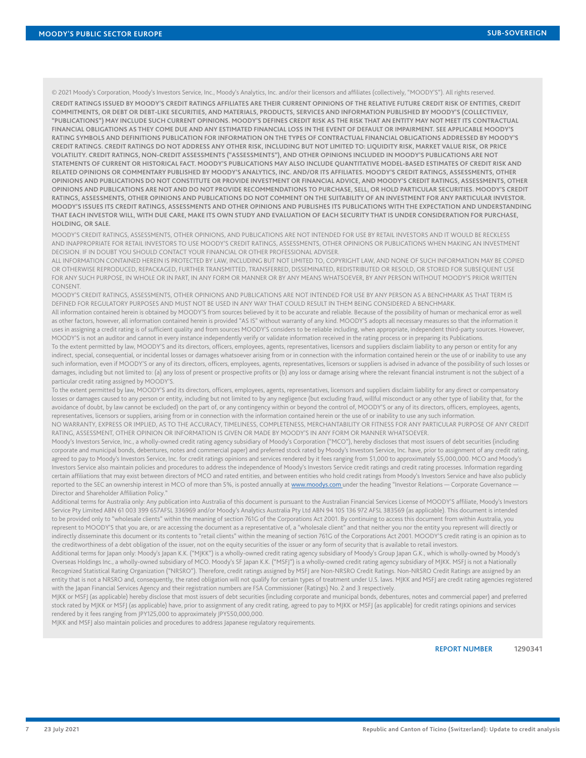© 2021 Moody's Corporation, Moody's Investors Service, Inc., Moody's Analytics, Inc. and/or their licensors and affiliates (collectively, "MOODY'S"). All rights reserved.

**CREDIT RATINGS ISSUED BY MOODY'S CREDIT RATINGS AFFILIATES ARE THEIR CURRENT OPINIONS OF THE RELATIVE FUTURE CREDIT RISK OF ENTITIES, CREDIT COMMITMENTS, OR DEBT OR DEBT-LIKE SECURITIES, AND MATERIALS, PRODUCTS, SERVICES AND INFORMATION PUBLISHED BY MOODY'S (COLLECTIVELY, "PUBLICATIONS") MAY INCLUDE SUCH CURRENT OPINIONS. MOODY'S DEFINES CREDIT RISK AS THE RISK THAT AN ENTITY MAY NOT MEET ITS CONTRACTUAL FINANCIAL OBLIGATIONS AS THEY COME DUE AND ANY ESTIMATED FINANCIAL LOSS IN THE EVENT OF DEFAULT OR IMPAIRMENT. SEE APPLICABLE MOODY'S RATING SYMBOLS AND DEFINITIONS PUBLICATION FOR INFORMATION ON THE TYPES OF CONTRACTUAL FINANCIAL OBLIGATIONS ADDRESSED BY MOODY'S CREDIT RATINGS. CREDIT RATINGS DO NOT ADDRESS ANY OTHER RISK, INCLUDING BUT NOT LIMITED TO: LIQUIDITY RISK, MARKET VALUE RISK, OR PRICE VOLATILITY. CREDIT RATINGS, NON-CREDIT ASSESSMENTS ("ASSESSMENTS"), AND OTHER OPINIONS INCLUDED IN MOODY'S PUBLICATIONS ARE NOT STATEMENTS OF CURRENT OR HISTORICAL FACT. MOODY'S PUBLICATIONS MAY ALSO INCLUDE QUANTITATIVE MODEL-BASED ESTIMATES OF CREDIT RISK AND RELATED OPINIONS OR COMMENTARY PUBLISHED BY MOODY'S ANALYTICS, INC. AND/OR ITS AFFILIATES. MOODY'S CREDIT RATINGS, ASSESSMENTS, OTHER OPINIONS AND PUBLICATIONS DO NOT CONSTITUTE OR PROVIDE INVESTMENT OR FINANCIAL ADVICE, AND MOODY'S CREDIT RATINGS, ASSESSMENTS, OTHER OPINIONS AND PUBLICATIONS ARE NOT AND DO NOT PROVIDE RECOMMENDATIONS TO PURCHASE, SELL, OR HOLD PARTICULAR SECURITIES. MOODY'S CREDIT RATINGS, ASSESSMENTS, OTHER OPINIONS AND PUBLICATIONS DO NOT COMMENT ON THE SUITABILITY OF AN INVESTMENT FOR ANY PARTICULAR INVESTOR. MOODY'S ISSUES ITS CREDIT RATINGS, ASSESSMENTS AND OTHER OPINIONS AND PUBLISHES ITS PUBLICATIONS WITH THE EXPECTATION AND UNDERSTANDING THAT EACH INVESTOR WILL, WITH DUE CARE, MAKE ITS OWN STUDY AND EVALUATION OF EACH SECURITY THAT IS UNDER CONSIDERATION FOR PURCHASE, HOLDING, OR SALE.**

MOODY'S CREDIT RATINGS, ASSESSMENTS, OTHER OPINIONS, AND PUBLICATIONS ARE NOT INTENDED FOR USE BY RETAIL INVESTORS AND IT WOULD BE RECKLESS AND INAPPROPRIATE FOR RETAIL INVESTORS TO USE MOODY'S CREDIT RATINGS, ASSESSMENTS, OTHER OPINIONS OR PUBLICATIONS WHEN MAKING AN INVESTMENT DECISION. IF IN DOUBT YOU SHOULD CONTACT YOUR FINANCIAL OR OTHER PROFESSIONAL ADVISER.

ALL INFORMATION CONTAINED HEREIN IS PROTECTED BY LAW, INCLUDING BUT NOT LIMITED TO, COPYRIGHT LAW, AND NONE OF SUCH INFORMATION MAY BE COPIED OR OTHERWISE REPRODUCED, REPACKAGED, FURTHER TRANSMITTED, TRANSFERRED, DISSEMINATED, REDISTRIBUTED OR RESOLD, OR STORED FOR SUBSEQUENT USE FOR ANY SUCH PURPOSE, IN WHOLE OR IN PART, IN ANY FORM OR MANNER OR BY ANY MEANS WHATSOEVER, BY ANY PERSON WITHOUT MOODY'S PRIOR WRITTEN CONSENT.

MOODY'S CREDIT RATINGS, ASSESSMENTS, OTHER OPINIONS AND PUBLICATIONS ARE NOT INTENDED FOR USE BY ANY PERSON AS A BENCHMARK AS THAT TERM IS DEFINED FOR REGULATORY PURPOSES AND MUST NOT BE USED IN ANY WAY THAT COULD RESULT IN THEM BEING CONSIDERED A BENCHMARK.

All information contained herein is obtained by MOODY'S from sources believed by it to be accurate and reliable. Because of the possibility of human or mechanical error as well as other factors, however, all information contained herein is provided "AS IS" without warranty of any kind. MOODY'S adopts all necessary measures so that the information it uses in assigning a credit rating is of sufficient quality and from sources MOODY'S considers to be reliable including, when appropriate, independent third-party sources. However, MOODY'S is not an auditor and cannot in every instance independently verify or validate information received in the rating process or in preparing its Publications.

To the extent permitted by law, MOODY'S and its directors, officers, employees, agents, representatives, licensors and suppliers disclaim liability to any person or entity for any indirect, special, consequential, or incidental losses or damages whatsoever arising from or in connection with the information contained herein or the use of or inability to use any such information, even if MOODY'S or any of its directors, officers, employees, agents, representatives, licensors or suppliers is advised in advance of the possibility of such losses or damages, including but not limited to: (a) any loss of present or prospective profits or (b) any loss or damage arising where the relevant financial instrument is not the subject of a particular credit rating assigned by MOODY'S.

.<br>To the extent permitted by law, MOODY'S and its directors, officers, employees, agents, representatives, licensors and suppliers disclaim liability for any direct or compensatory losses or damages caused to any person or entity, including but not limited to by any negligence (but excluding fraud, willful misconduct or any other type of liability that, for the avoidance of doubt, by law cannot be excluded) on the part of, or any contingency within or beyond the control of, MOODY'S or any of its directors, officers, employees, agents, representatives, licensors or suppliers, arising from or in connection with the information contained herein or the use of or inability to use any such information.

NO WARRANTY, EXPRESS OR IMPLIED, AS TO THE ACCURACY, TIMELINESS, COMPLETENESS, MERCHANTABILITY OR FITNESS FOR ANY PARTICULAR PURPOSE OF ANY CREDIT RATING, ASSESSMENT, OTHER OPINION OR INFORMATION IS GIVEN OR MADE BY MOODY'S IN ANY FORM OR MANNER WHATSOEVER.

Moody's Investors Service, Inc., a wholly-owned credit rating agency subsidiary of Moody's Corporation ("MCO"), hereby discloses that most issuers of debt securities (including corporate and municipal bonds, debentures, notes and commercial paper) and preferred stock rated by Moody's Investors Service, Inc. have, prior to assignment of any credit rating, agreed to pay to Moody's Investors Service, Inc. for credit ratings opinions and services rendered by it fees ranging from \$1,000 to approximately \$5,000,000. MCO and Moody's Investors Service also maintain policies and procedures to address the independence of Moody's Investors Service credit ratings and credit rating processes. Information regarding certain affiliations that may exist between directors of MCO and rated entities, and between entities who hold credit ratings from Moody's Investors Service and have also publicly reported to the SEC an ownership interest in MCO of more than 5%, is posted annually at [www.moodys.com](http://www.moodys.com) under the heading "Investor Relations - Corporate Governance -Director and Shareholder Affiliation Policy."

Additional terms for Australia only: Any publication into Australia of this document is pursuant to the Australian Financial Services License of MOODY'S affiliate, Moody's Investors Service Pty Limited ABN 61 003 399 657AFSL 336969 and/or Moody's Analytics Australia Pty Ltd ABN 94 105 136 972 AFSL 383569 (as applicable). This document is intended to be provided only to "wholesale clients" within the meaning of section 761G of the Corporations Act 2001. By continuing to access this document from within Australia, you represent to MOODY'S that you are, or are accessing the document as a representative of, a "wholesale client" and that neither you nor the entity you represent will directly or indirectly disseminate this document or its contents to "retail clients" within the meaning of section 761G of the Corporations Act 2001. MOODY'S credit rating is an opinion as to the creditworthiness of a debt obligation of the issuer, not on the equity securities of the issuer or any form of security that is available to retail investors.

Additional terms for Japan only: Moody's Japan K.K. ("MJKK") is a wholly-owned credit rating agency subsidiary of Moody's Group Japan G.K., which is wholly-owned by Moody's Overseas Holdings Inc., a wholly-owned subsidiary of MCO. Moody's SF Japan K.K. ("MSFJ") is a wholly-owned credit rating agency subsidiary of MJKK. MSFJ is not a Nationally Recognized Statistical Rating Organization ("NRSRO"). Therefore, credit ratings assigned by MSFJ are Non-NRSRO Credit Ratings. Non-NRSRO Credit Ratings are assigned by an entity that is not a NRSRO and, consequently, the rated obligation will not qualify for certain types of treatment under U.S. laws. MJKK and MSFJ are credit rating agencies registered with the Japan Financial Services Agency and their registration numbers are FSA Commissioner (Ratings) No. 2 and 3 respectively.

MJKK or MSFJ (as applicable) hereby disclose that most issuers of debt securities (including corporate and municipal bonds, debentures, notes and commercial paper) and preferred stock rated by MJKK or MSFJ (as applicable) have, prior to assignment of any credit rating, agreed to pay to MJKK or MSFJ (as applicable) for credit ratings opinions and services rendered by it fees ranging from JPY125,000 to approximately JPY550,000,000.

MJKK and MSFJ also maintain policies and procedures to address Japanese regulatory requirements.

REPORT NUMBER **1290341**